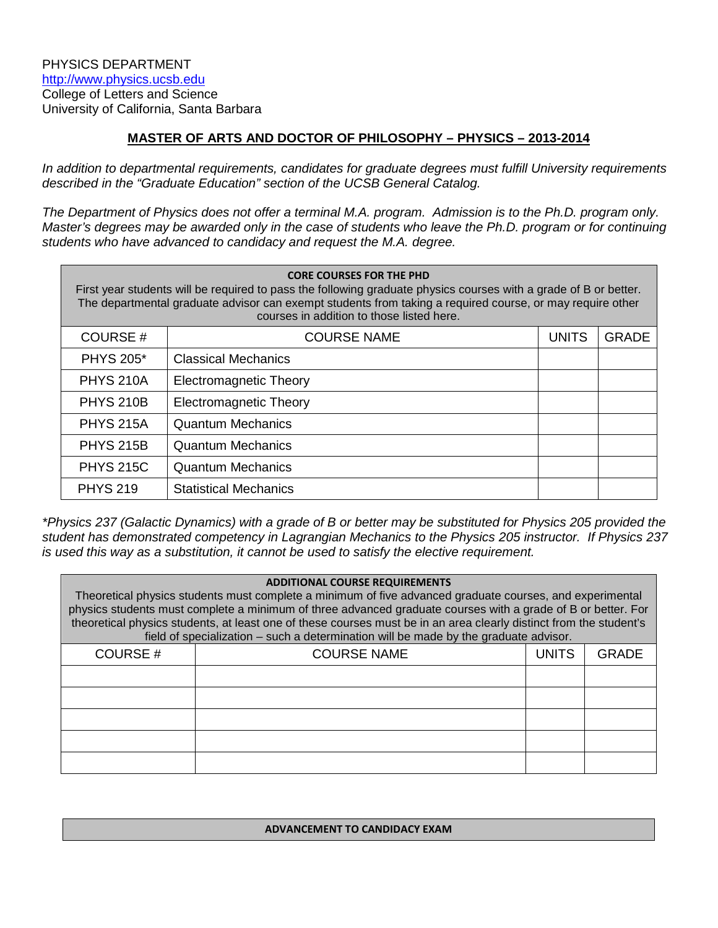# **MASTER OF ARTS AND DOCTOR OF PHILOSOPHY – PHYSICS – 2013-2014**

*In addition to departmental requirements, candidates for graduate degrees must fulfill University requirements described in the "Graduate Education" section of the UCSB General Catalog.*

*The Department of Physics does not offer a terminal M.A. program. Admission is to the Ph.D. program only. Master's degrees may be awarded only in the case of students who leave the Ph.D. program or for continuing students who have advanced to candidacy and request the M.A. degree.* 

| <b>CORE COURSES FOR THE PHD</b><br>First year students will be required to pass the following graduate physics courses with a grade of B or better.<br>The departmental graduate advisor can exempt students from taking a required course, or may require other<br>courses in addition to those listed here. |                               |              |              |  |  |
|---------------------------------------------------------------------------------------------------------------------------------------------------------------------------------------------------------------------------------------------------------------------------------------------------------------|-------------------------------|--------------|--------------|--|--|
| COURSE#                                                                                                                                                                                                                                                                                                       | <b>COURSE NAME</b>            | <b>UNITS</b> | <b>GRADE</b> |  |  |
| <b>PHYS 205*</b>                                                                                                                                                                                                                                                                                              | <b>Classical Mechanics</b>    |              |              |  |  |
| <b>PHYS 210A</b>                                                                                                                                                                                                                                                                                              | <b>Electromagnetic Theory</b> |              |              |  |  |
| <b>PHYS 210B</b>                                                                                                                                                                                                                                                                                              | <b>Electromagnetic Theory</b> |              |              |  |  |
| <b>PHYS 215A</b>                                                                                                                                                                                                                                                                                              | <b>Quantum Mechanics</b>      |              |              |  |  |
| <b>PHYS 215B</b>                                                                                                                                                                                                                                                                                              | <b>Quantum Mechanics</b>      |              |              |  |  |
| <b>PHYS 215C</b>                                                                                                                                                                                                                                                                                              | <b>Quantum Mechanics</b>      |              |              |  |  |
| <b>PHYS 219</b>                                                                                                                                                                                                                                                                                               | <b>Statistical Mechanics</b>  |              |              |  |  |

*\*Physics 237 (Galactic Dynamics) with a grade of B or better may be substituted for Physics 205 provided the student has demonstrated competency in Lagrangian Mechanics to the Physics 205 instructor. If Physics 237 is used this way as a substitution, it cannot be used to satisfy the elective requirement.*

#### **ADDITIONAL COURSE REQUIREMENTS**

Theoretical physics students must complete a minimum of five advanced graduate courses, and experimental physics students must complete a minimum of three advanced graduate courses with a grade of B or better. For theoretical physics students, at least one of these courses must be in an area clearly distinct from the student's field of specialization – such a determination will be made by the graduate advisor.

| <b>COURSE#</b> | <b>COURSE NAME</b> | <b>UNITS</b> | <b>GRADE</b> |
|----------------|--------------------|--------------|--------------|
|                |                    |              |              |
|                |                    |              |              |
|                |                    |              |              |
|                |                    |              |              |
|                |                    |              |              |

#### **ADVANCEMENT TO CANDIDACY EXAM**